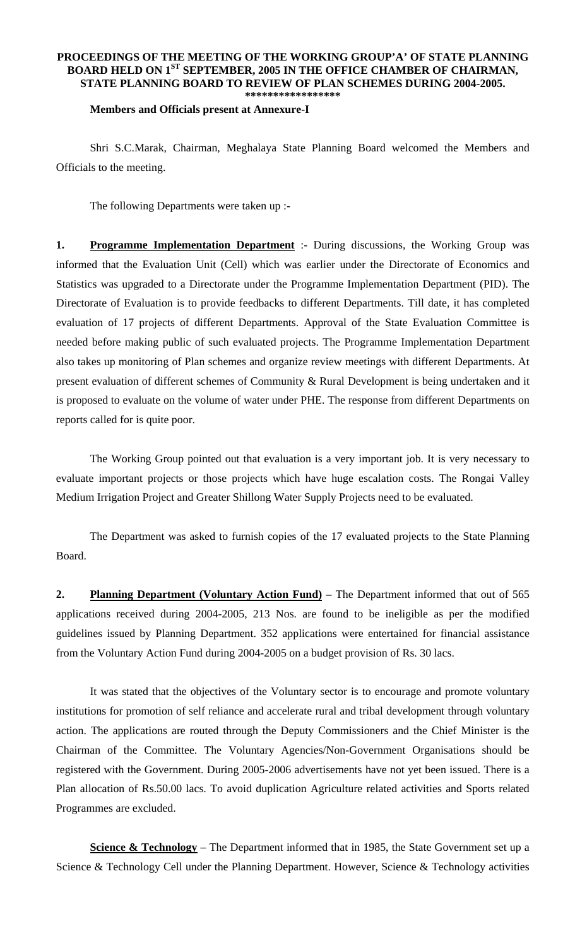## **PROCEEDINGS OF THE MEETING OF THE WORKING GROUP'A' OF STATE PLANNING BOARD HELD ON 1ST SEPTEMBER, 2005 IN THE OFFICE CHAMBER OF CHAIRMAN, STATE PLANNING BOARD TO REVIEW OF PLAN SCHEMES DURING 2004-2005. \*\*\*\*\*\*\*\*\*\*\*\*\*\*\*\*\***

## **Members and Officials present at Annexure-I**

 Shri S.C.Marak, Chairman, Meghalaya State Planning Board welcomed the Members and Officials to the meeting.

The following Departments were taken up :-

**1. Programme Implementation Department** :- During discussions, the Working Group was informed that the Evaluation Unit (Cell) which was earlier under the Directorate of Economics and Statistics was upgraded to a Directorate under the Programme Implementation Department (PID). The Directorate of Evaluation is to provide feedbacks to different Departments. Till date, it has completed evaluation of 17 projects of different Departments. Approval of the State Evaluation Committee is needed before making public of such evaluated projects. The Programme Implementation Department also takes up monitoring of Plan schemes and organize review meetings with different Departments. At present evaluation of different schemes of Community & Rural Development is being undertaken and it is proposed to evaluate on the volume of water under PHE. The response from different Departments on reports called for is quite poor.

 The Working Group pointed out that evaluation is a very important job. It is very necessary to evaluate important projects or those projects which have huge escalation costs. The Rongai Valley Medium Irrigation Project and Greater Shillong Water Supply Projects need to be evaluated.

 The Department was asked to furnish copies of the 17 evaluated projects to the State Planning Board.

**2. Planning Department (Voluntary Action Fund)** – The Department informed that out of 565 applications received during 2004-2005, 213 Nos. are found to be ineligible as per the modified guidelines issued by Planning Department. 352 applications were entertained for financial assistance from the Voluntary Action Fund during 2004-2005 on a budget provision of Rs. 30 lacs.

 It was stated that the objectives of the Voluntary sector is to encourage and promote voluntary institutions for promotion of self reliance and accelerate rural and tribal development through voluntary action. The applications are routed through the Deputy Commissioners and the Chief Minister is the Chairman of the Committee. The Voluntary Agencies/Non-Government Organisations should be registered with the Government. During 2005-2006 advertisements have not yet been issued. There is a Plan allocation of Rs.50.00 lacs. To avoid duplication Agriculture related activities and Sports related Programmes are excluded.

**<u>Science & Technology</u>** – The Department informed that in 1985, the State Government set up a Science & Technology Cell under the Planning Department. However, Science & Technology activities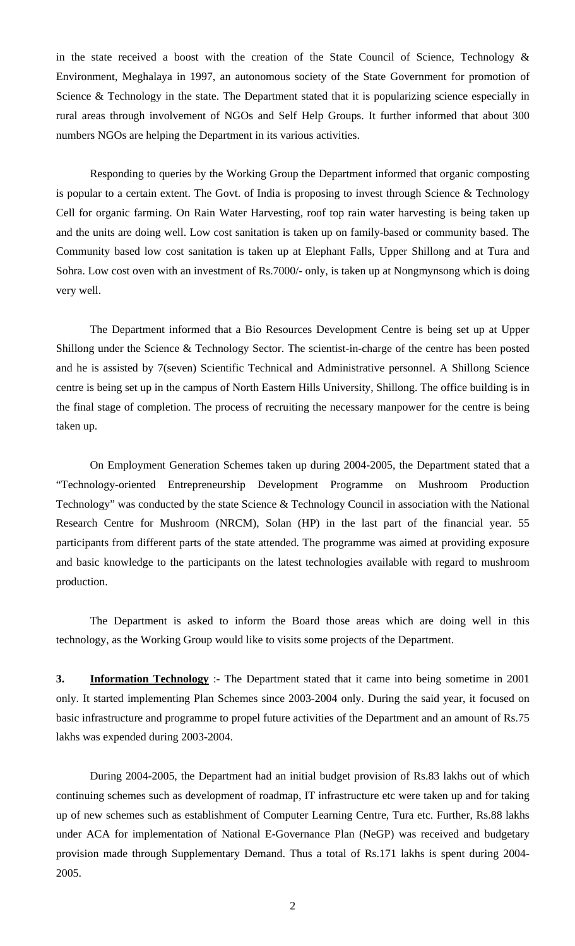in the state received a boost with the creation of the State Council of Science, Technology  $\&$ Environment, Meghalaya in 1997, an autonomous society of the State Government for promotion of Science & Technology in the state. The Department stated that it is popularizing science especially in rural areas through involvement of NGOs and Self Help Groups. It further informed that about 300 numbers NGOs are helping the Department in its various activities.

 Responding to queries by the Working Group the Department informed that organic composting is popular to a certain extent. The Govt. of India is proposing to invest through Science & Technology Cell for organic farming. On Rain Water Harvesting, roof top rain water harvesting is being taken up and the units are doing well. Low cost sanitation is taken up on family-based or community based. The Community based low cost sanitation is taken up at Elephant Falls, Upper Shillong and at Tura and Sohra. Low cost oven with an investment of Rs.7000/- only, is taken up at Nongmynsong which is doing very well.

 The Department informed that a Bio Resources Development Centre is being set up at Upper Shillong under the Science & Technology Sector. The scientist-in-charge of the centre has been posted and he is assisted by 7(seven) Scientific Technical and Administrative personnel. A Shillong Science centre is being set up in the campus of North Eastern Hills University, Shillong. The office building is in the final stage of completion. The process of recruiting the necessary manpower for the centre is being taken up.

 On Employment Generation Schemes taken up during 2004-2005, the Department stated that a "Technology-oriented Entrepreneurship Development Programme on Mushroom Production Technology" was conducted by the state Science & Technology Council in association with the National Research Centre for Mushroom (NRCM), Solan (HP) in the last part of the financial year. 55 participants from different parts of the state attended. The programme was aimed at providing exposure and basic knowledge to the participants on the latest technologies available with regard to mushroom production.

 The Department is asked to inform the Board those areas which are doing well in this technology, as the Working Group would like to visits some projects of the Department.

**3. Information Technology** :- The Department stated that it came into being sometime in 2001 only. It started implementing Plan Schemes since 2003-2004 only. During the said year, it focused on basic infrastructure and programme to propel future activities of the Department and an amount of Rs.75 lakhs was expended during 2003-2004.

 During 2004-2005, the Department had an initial budget provision of Rs.83 lakhs out of which continuing schemes such as development of roadmap, IT infrastructure etc were taken up and for taking up of new schemes such as establishment of Computer Learning Centre, Tura etc. Further, Rs.88 lakhs under ACA for implementation of National E-Governance Plan (NeGP) was received and budgetary provision made through Supplementary Demand. Thus a total of Rs.171 lakhs is spent during 2004- 2005.